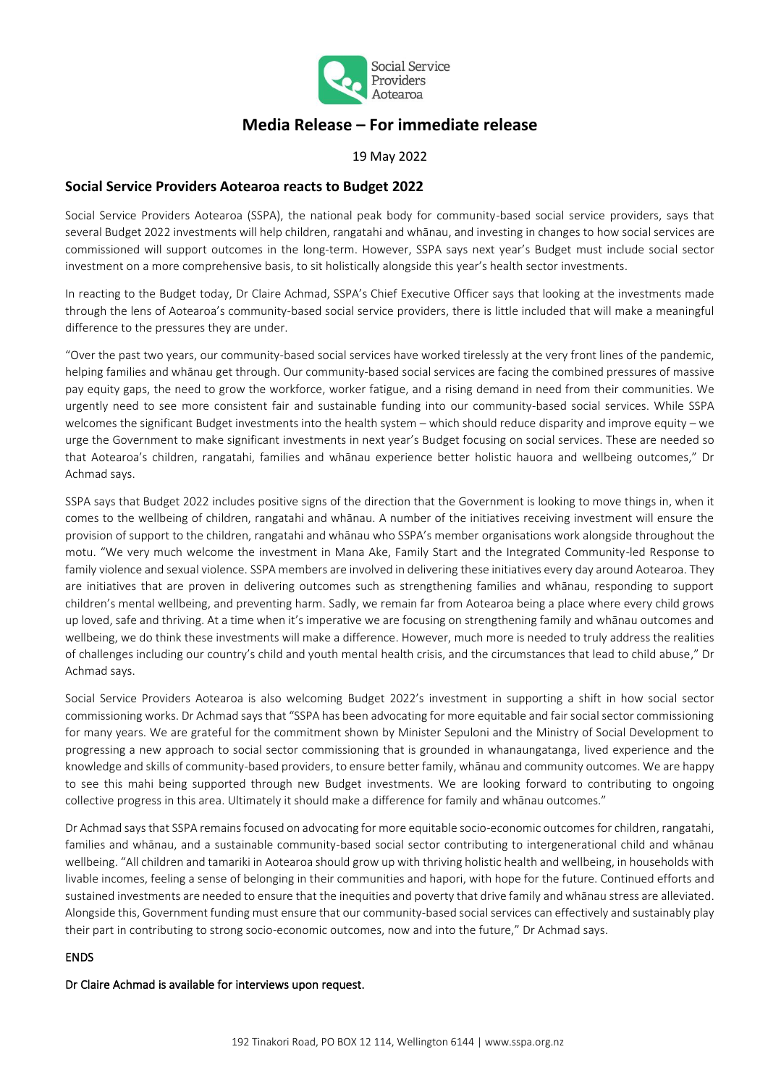

# **Media Release – For immediate release**

19 May 2022

# **Social Service Providers Aotearoa reacts to Budget 2022**

Social Service Providers Aotearoa (SSPA), the national peak body for community-based social service providers, says that several Budget 2022 investments will help children, rangatahi and whānau, and investing in changes to how social services are commissioned will support outcomes in the long-term. However, SSPA says next year's Budget must include social sector investment on a more comprehensive basis, to sit holistically alongside this year's health sector investments.

In reacting to the Budget today, Dr Claire Achmad, SSPA's Chief Executive Officer says that looking at the investments made through the lens of Aotearoa's community-based social service providers, there is little included that will make a meaningful difference to the pressures they are under.

"Over the past two years, our community-based social services have worked tirelessly at the very front lines of the pandemic, helping families and whānau get through. Our community-based social services are facing the combined pressures of massive pay equity gaps, the need to grow the workforce, worker fatigue, and a rising demand in need from their communities. We urgently need to see more consistent fair and sustainable funding into our community-based social services. While SSPA welcomes the significant Budget investments into the health system – which should reduce disparity and improve equity – we urge the Government to make significant investments in next year's Budget focusing on social services. These are needed so that Aotearoa's children, rangatahi, families and whānau experience better holistic hauora and wellbeing outcomes," Dr Achmad says.

SSPA says that Budget 2022 includes positive signs of the direction that the Government is looking to move things in, when it comes to the wellbeing of children, rangatahi and whānau. A number of the initiatives receiving investment will ensure the provision of support to the children, rangatahi and whānau who SSPA's member organisations work alongside throughout the motu. "We very much welcome the investment in Mana Ake, Family Start and the Integrated Community-led Response to family violence and sexual violence. SSPA members are involved in delivering these initiatives every day around Aotearoa. They are initiatives that are proven in delivering outcomes such as strengthening families and whānau, responding to support children's mental wellbeing, and preventing harm. Sadly, we remain far from Aotearoa being a place where every child grows up loved, safe and thriving. At a time when it's imperative we are focusing on strengthening family and whānau outcomes and wellbeing, we do think these investments will make a difference. However, much more is needed to truly address the realities of challenges including our country's child and youth mental health crisis, and the circumstances that lead to child abuse," Dr Achmad says.

Social Service Providers Aotearoa is also welcoming Budget 2022's investment in supporting a shift in how social sector commissioning works. Dr Achmad says that "SSPA has been advocating for more equitable and fair social sector commissioning for many years. We are grateful for the commitment shown by Minister Sepuloni and the Ministry of Social Development to progressing a new approach to social sector commissioning that is grounded in whanaungatanga, lived experience and the knowledge and skills of community-based providers, to ensure better family, whānau and community outcomes. We are happy to see this mahi being supported through new Budget investments. We are looking forward to contributing to ongoing collective progress in this area. Ultimately it should make a difference for family and whānau outcomes."

Dr Achmad says that SSPA remains focused on advocating for more equitable socio-economic outcomes for children, rangatahi, families and whānau, and a sustainable community-based social sector contributing to intergenerational child and whānau wellbeing. "All children and tamariki in Aotearoa should grow up with thriving holistic health and wellbeing, in households with livable incomes, feeling a sense of belonging in their communities and hapori, with hope for the future. Continued efforts and sustained investments are needed to ensure that the inequities and poverty that drive family and whānau stress are alleviated. Alongside this, Government funding must ensure that our community-based social services can effectively and sustainably play their part in contributing to strong socio-economic outcomes, now and into the future," Dr Achmad says.

### ENDS

Dr Claire Achmad is available for interviews upon request.